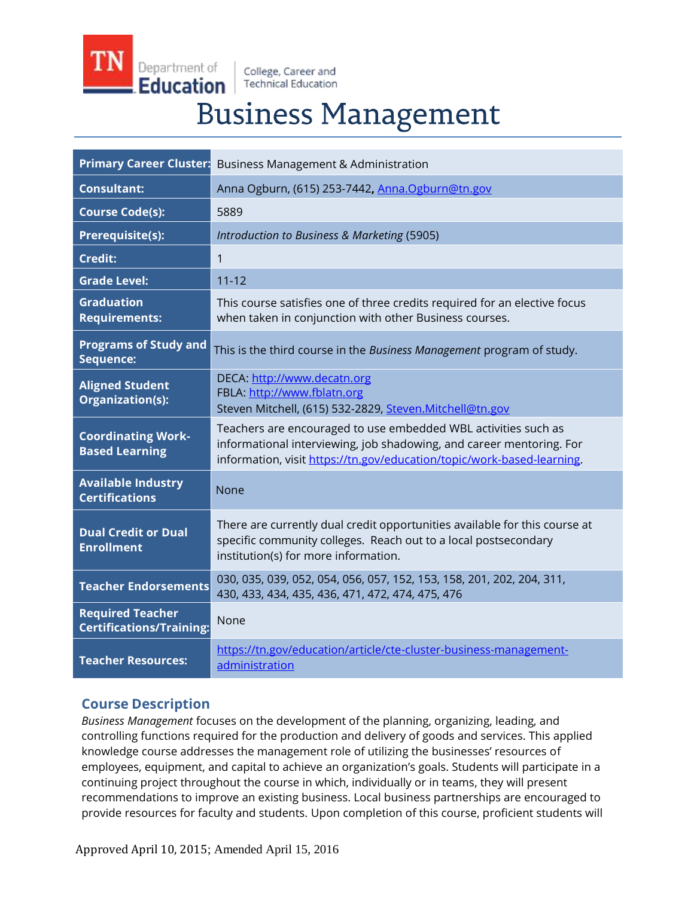

College, Career and **Technical Education** 

# **Business Management**

| <b>Primary Career Cluster:</b>                             | <b>Business Management &amp; Administration</b>                                                                                                                                                                  |
|------------------------------------------------------------|------------------------------------------------------------------------------------------------------------------------------------------------------------------------------------------------------------------|
| <b>Consultant:</b>                                         | Anna Ogburn, (615) 253-7442, Anna.Ogburn@tn.gov                                                                                                                                                                  |
| <b>Course Code(s):</b>                                     | 5889                                                                                                                                                                                                             |
| Prerequisite(s):                                           | Introduction to Business & Marketing (5905)                                                                                                                                                                      |
| <b>Credit:</b>                                             | $\mathbf{1}$                                                                                                                                                                                                     |
| <b>Grade Level:</b>                                        | $11 - 12$                                                                                                                                                                                                        |
| <b>Graduation</b><br><b>Requirements:</b>                  | This course satisfies one of three credits required for an elective focus<br>when taken in conjunction with other Business courses.                                                                              |
| <b>Programs of Study and</b><br>Sequence:                  | This is the third course in the Business Management program of study.                                                                                                                                            |
| <b>Aligned Student</b><br>Organization(s):                 | DECA: http://www.decatn.org<br>FBLA: http://www.fblatn.org<br>Steven Mitchell, (615) 532-2829, Steven.Mitchell@tn.gov                                                                                            |
| <b>Coordinating Work-</b><br><b>Based Learning</b>         | Teachers are encouraged to use embedded WBL activities such as<br>informational interviewing, job shadowing, and career mentoring. For<br>information, visit https://tn.gov/education/topic/work-based-learning. |
| <b>Available Industry</b><br><b>Certifications</b>         | None                                                                                                                                                                                                             |
| <b>Dual Credit or Dual</b><br><b>Enrollment</b>            | There are currently dual credit opportunities available for this course at<br>specific community colleges. Reach out to a local postsecondary<br>institution(s) for more information.                            |
| <b>Teacher Endorsements</b>                                | 030, 035, 039, 052, 054, 056, 057, 152, 153, 158, 201, 202, 204, 311,<br>430, 433, 434, 435, 436, 471, 472, 474, 475, 476                                                                                        |
| <b>Required Teacher</b><br><b>Certifications/Training:</b> | None                                                                                                                                                                                                             |
| <b>Teacher Resources:</b>                                  | https://tn.gov/education/article/cte-cluster-business-management-<br>administration                                                                                                                              |

# **Course Description**

*Business Management* focuses on the development of the planning, organizing, leading, and controlling functions required for the production and delivery of goods and services. This applied knowledge course addresses the management role of utilizing the businesses' resources of employees, equipment, and capital to achieve an organization's goals. Students will participate in a continuing project throughout the course in which, individually or in teams, they will present recommendations to improve an existing business. Local business partnerships are encouraged to provide resources for faculty and students. Upon completion of this course, proficient students will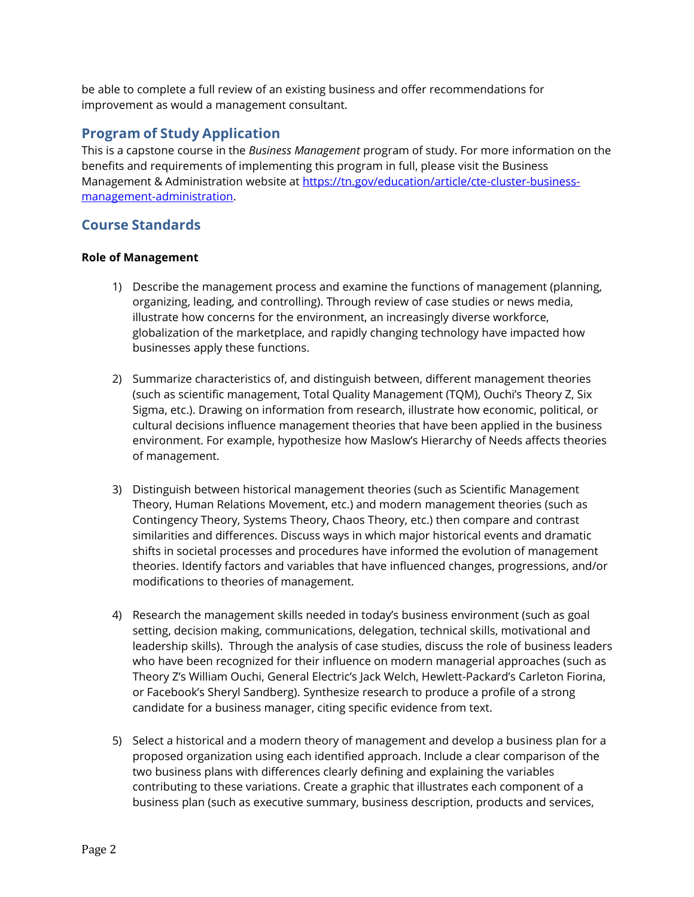be able to complete a full review of an existing business and offer recommendations for improvement as would a management consultant.

# **Program of Study Application**

This is a capstone course in the *Business Management* program of study. For more information on the benefits and requirements of implementing this program in full, please visit the Business Management & Administration website at [https://tn.gov/education/article/cte-cluster-business](https://tn.gov/education/article/cte-cluster-business-management-administration)[management-administration.](https://tn.gov/education/article/cte-cluster-business-management-administration)

# **Course Standards**

## **Role of Management**

- 1) Describe the management process and examine the functions of management (planning, organizing, leading, and controlling). Through review of case studies or news media, illustrate how concerns for the environment, an increasingly diverse workforce, globalization of the marketplace, and rapidly changing technology have impacted how businesses apply these functions.
- 2) Summarize characteristics of, and distinguish between, different management theories (such as scientific management, Total Quality Management (TQM), Ouchi's Theory Z, Six Sigma, etc.). Drawing on information from research, illustrate how economic, political, or cultural decisions influence management theories that have been applied in the business environment. For example, hypothesize how Maslow's Hierarchy of Needs affects theories of management.
- 3) Distinguish between historical management theories (such as Scientific Management Theory, Human Relations Movement, etc.) and modern management theories (such as Contingency Theory, Systems Theory, Chaos Theory, etc.) then compare and contrast similarities and differences. Discuss ways in which major historical events and dramatic shifts in societal processes and procedures have informed the evolution of management theories. Identify factors and variables that have influenced changes, progressions, and/or modifications to theories of management.
- 4) Research the management skills needed in today's business environment (such as goal setting, decision making, communications, delegation, technical skills, motivational and leadership skills). Through the analysis of case studies, discuss the role of business leaders who have been recognized for their influence on modern managerial approaches (such as Theory Z's William Ouchi, General Electric's Jack Welch, Hewlett-Packard's Carleton Fiorina, or Facebook's Sheryl Sandberg). Synthesize research to produce a profile of a strong candidate for a business manager, citing specific evidence from text.
- 5) Select a historical and a modern theory of management and develop a business plan for a proposed organization using each identified approach. Include a clear comparison of the two business plans with differences clearly defining and explaining the variables contributing to these variations. Create a graphic that illustrates each component of a business plan (such as executive summary, business description, products and services,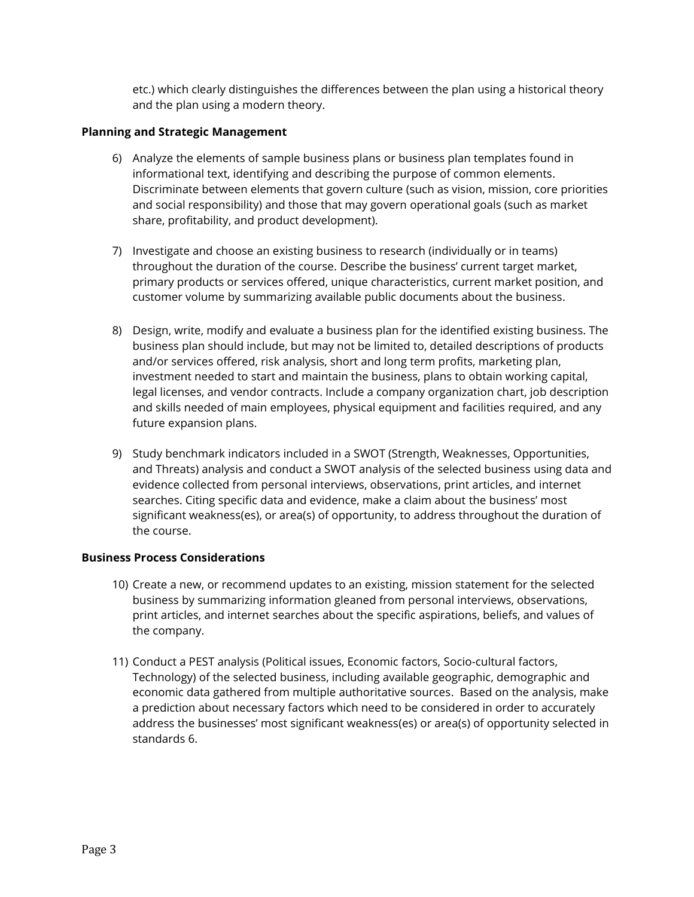etc.) which clearly distinguishes the differences between the plan using a historical theory and the plan using a modern theory.

## **Planning and Strategic Management**

- 6) Analyze the elements of sample business plans or business plan templates found in informational text, identifying and describing the purpose of common elements. Discriminate between elements that govern culture (such as vision, mission, core priorities and social responsibility) and those that may govern operational goals (such as market share, profitability, and product development).
- 7) Investigate and choose an existing business to research (individually or in teams) throughout the duration of the course. Describe the business' current target market, primary products or services offered, unique characteristics, current market position, and customer volume by summarizing available public documents about the business.
- 8) Design, write, modify and evaluate a business plan for the identified existing business. The business plan should include, but may not be limited to, detailed descriptions of products and/or services offered, risk analysis, short and long term profits, marketing plan, investment needed to start and maintain the business, plans to obtain working capital, legal licenses, and vendor contracts. Include a company organization chart, job description and skills needed of main employees, physical equipment and facilities required, and any future expansion plans.
- 9) Study benchmark indicators included in a SWOT (Strength, Weaknesses, Opportunities, and Threats) analysis and conduct a SWOT analysis of the selected business using data and evidence collected from personal interviews, observations, print articles, and internet searches. Citing specific data and evidence, make a claim about the business' most significant weakness(es), or area(s) of opportunity, to address throughout the duration of the course.

#### **Business Process Considerations**

- 10) Create a new, or recommend updates to an existing, mission statement for the selected business by summarizing information gleaned from personal interviews, observations, print articles, and internet searches about the specific aspirations, beliefs, and values of the company.
- 11) Conduct a PEST analysis (Political issues, Economic factors, Socio-cultural factors, Technology) of the selected business, including available geographic, demographic and economic data gathered from multiple authoritative sources. Based on the analysis, make a prediction about necessary factors which need to be considered in order to accurately address the businesses' most significant weakness(es) or area(s) of opportunity selected in standards 6.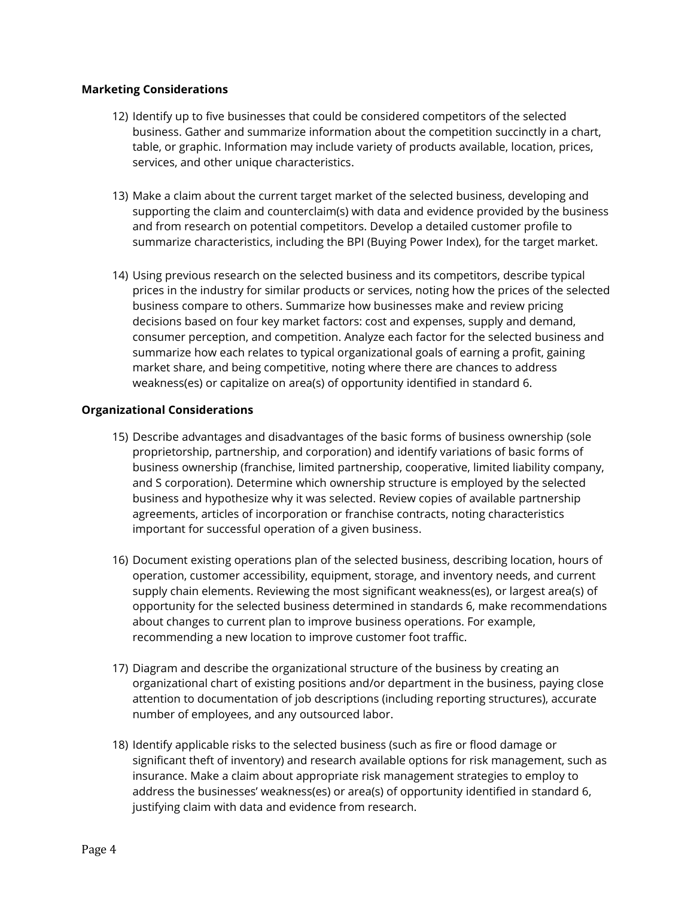#### **Marketing Considerations**

- 12) Identify up to five businesses that could be considered competitors of the selected business. Gather and summarize information about the competition succinctly in a chart, table, or graphic. Information may include variety of products available, location, prices, services, and other unique characteristics.
- 13) Make a claim about the current target market of the selected business, developing and supporting the claim and counterclaim(s) with data and evidence provided by the business and from research on potential competitors. Develop a detailed customer profile to summarize characteristics, including the BPI (Buying Power Index), for the target market.
- 14) Using previous research on the selected business and its competitors, describe typical prices in the industry for similar products or services, noting how the prices of the selected business compare to others. Summarize how businesses make and review pricing decisions based on four key market factors: cost and expenses, supply and demand, consumer perception, and competition. Analyze each factor for the selected business and summarize how each relates to typical organizational goals of earning a profit, gaining market share, and being competitive, noting where there are chances to address weakness(es) or capitalize on area(s) of opportunity identified in standard 6.

## **Organizational Considerations**

- 15) Describe advantages and disadvantages of the basic forms of business ownership (sole proprietorship, partnership, and corporation) and identify variations of basic forms of business ownership (franchise, limited partnership, cooperative, limited liability company, and S corporation). Determine which ownership structure is employed by the selected business and hypothesize why it was selected. Review copies of available partnership agreements, articles of incorporation or franchise contracts, noting characteristics important for successful operation of a given business.
- 16) Document existing operations plan of the selected business, describing location, hours of operation, customer accessibility, equipment, storage, and inventory needs, and current supply chain elements. Reviewing the most significant weakness(es), or largest area(s) of opportunity for the selected business determined in standards 6, make recommendations about changes to current plan to improve business operations. For example, recommending a new location to improve customer foot traffic.
- 17) Diagram and describe the organizational structure of the business by creating an organizational chart of existing positions and/or department in the business, paying close attention to documentation of job descriptions (including reporting structures), accurate number of employees, and any outsourced labor.
- 18) Identify applicable risks to the selected business (such as fire or flood damage or significant theft of inventory) and research available options for risk management, such as insurance. Make a claim about appropriate risk management strategies to employ to address the businesses' weakness(es) or area(s) of opportunity identified in standard 6, justifying claim with data and evidence from research.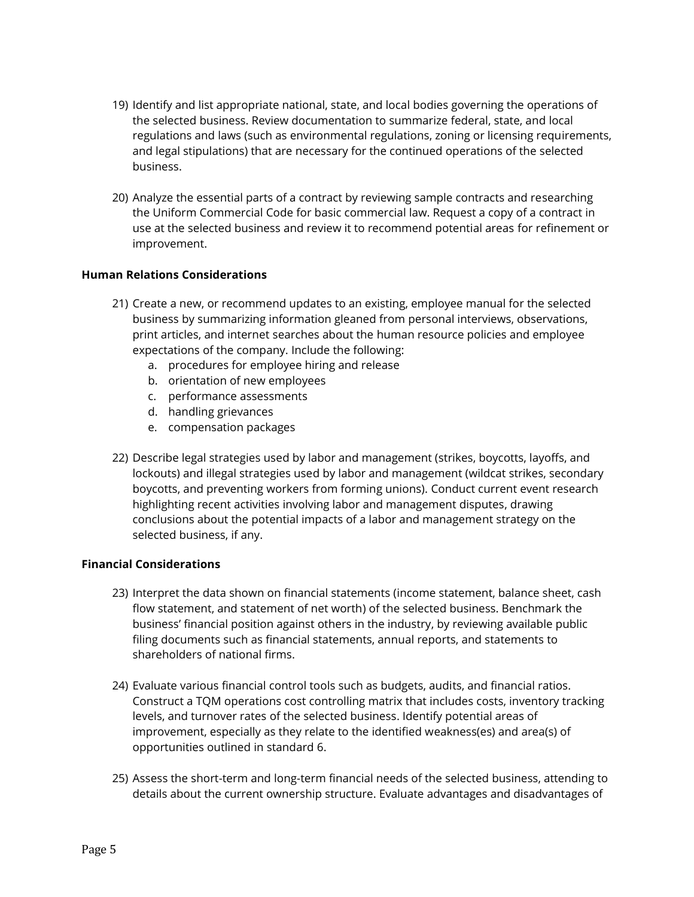- 19) Identify and list appropriate national, state, and local bodies governing the operations of the selected business. Review documentation to summarize federal, state, and local regulations and laws (such as environmental regulations, zoning or licensing requirements, and legal stipulations) that are necessary for the continued operations of the selected business.
- 20) Analyze the essential parts of a contract by reviewing sample contracts and researching the Uniform Commercial Code for basic commercial law. Request a copy of a contract in use at the selected business and review it to recommend potential areas for refinement or improvement.

## **Human Relations Considerations**

- 21) Create a new, or recommend updates to an existing, employee manual for the selected business by summarizing information gleaned from personal interviews, observations, print articles, and internet searches about the human resource policies and employee expectations of the company. Include the following:
	- a. procedures for employee hiring and release
	- b. orientation of new employees
	- c. performance assessments
	- d. handling grievances
	- e. compensation packages
- 22) Describe legal strategies used by labor and management (strikes, boycotts, layoffs, and lockouts) and illegal strategies used by labor and management (wildcat strikes, secondary boycotts, and preventing workers from forming unions). Conduct current event research highlighting recent activities involving labor and management disputes, drawing conclusions about the potential impacts of a labor and management strategy on the selected business, if any.

#### **Financial Considerations**

- 23) Interpret the data shown on financial statements (income statement, balance sheet, cash flow statement, and statement of net worth) of the selected business. Benchmark the business' financial position against others in the industry, by reviewing available public filing documents such as financial statements, annual reports, and statements to shareholders of national firms.
- 24) Evaluate various financial control tools such as budgets, audits, and financial ratios. Construct a TQM operations cost controlling matrix that includes costs, inventory tracking levels, and turnover rates of the selected business. Identify potential areas of improvement, especially as they relate to the identified weakness(es) and area(s) of opportunities outlined in standard 6.
- 25) Assess the short-term and long-term financial needs of the selected business, attending to details about the current ownership structure. Evaluate advantages and disadvantages of